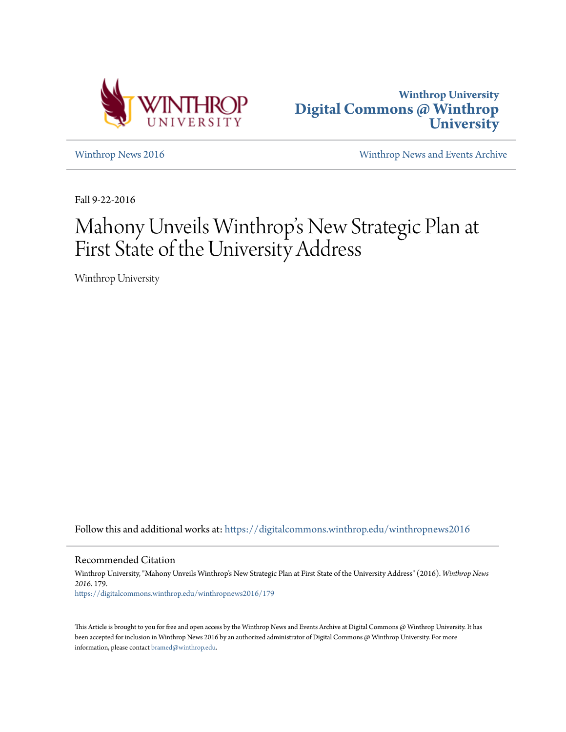



[Winthrop News 2016](https://digitalcommons.winthrop.edu/winthropnews2016?utm_source=digitalcommons.winthrop.edu%2Fwinthropnews2016%2F179&utm_medium=PDF&utm_campaign=PDFCoverPages) [Winthrop News and Events Archive](https://digitalcommons.winthrop.edu/winthropnewsarchives?utm_source=digitalcommons.winthrop.edu%2Fwinthropnews2016%2F179&utm_medium=PDF&utm_campaign=PDFCoverPages)

Fall 9-22-2016

# Mahony Unveils Winthrop 's New Strategic Plan at First State of the University Address

Winthrop University

Follow this and additional works at: [https://digitalcommons.winthrop.edu/winthropnews2016](https://digitalcommons.winthrop.edu/winthropnews2016?utm_source=digitalcommons.winthrop.edu%2Fwinthropnews2016%2F179&utm_medium=PDF&utm_campaign=PDFCoverPages)

Recommended Citation

Winthrop University, "Mahony Unveils Winthrop's New Strategic Plan at First State of the University Address" (2016). *Winthrop News 2016*. 179. [https://digitalcommons.winthrop.edu/winthropnews2016/179](https://digitalcommons.winthrop.edu/winthropnews2016/179?utm_source=digitalcommons.winthrop.edu%2Fwinthropnews2016%2F179&utm_medium=PDF&utm_campaign=PDFCoverPages)

This Article is brought to you for free and open access by the Winthrop News and Events Archive at Digital Commons @ Winthrop University. It has been accepted for inclusion in Winthrop News 2016 by an authorized administrator of Digital Commons @ Winthrop University. For more information, please contact [bramed@winthrop.edu](mailto:bramed@winthrop.edu).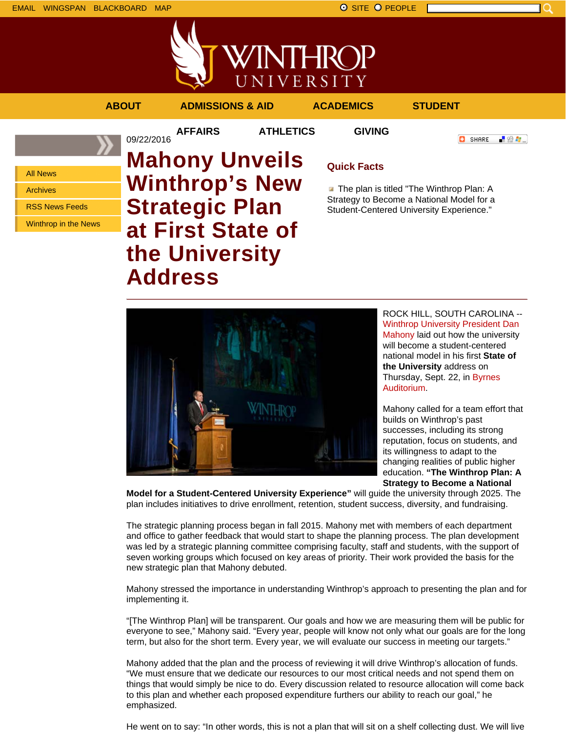

「验費」

**O** SHARE



**AFFAIRS ATHLETICS GIVING**

09/22/2016

```
ABOUT ADMISSIONS & AID ACADEMICS STUDENT
```
All News Archives RSS News Feeds

Winthrop in the News

# **Mahony Unveils Winthrop's New Strategic Plan at First State of the University Address**

## **Quick Facts**

**The plan is titled "The Winthrop Plan: A** Strategy to Become a National Model for a Student-Centered University Experience."



ROCK HILL, SOUTH CAROLINA -- Winthrop University President Dan Mahony laid out how the university will become a student-centered national model in his first **State of the University** address on Thursday, Sept. 22, in Byrnes Auditorium.

Mahony called for a team effort that builds on Winthrop's past successes, including its strong reputation, focus on students, and its willingness to adapt to the changing realities of public higher education. **"The Winthrop Plan: A Strategy to Become a National**

**Model for a Student-Centered University Experience"** will guide the university through 2025. The plan includes initiatives to drive enrollment, retention, student success, diversity, and fundraising.

The strategic planning process began in fall 2015. Mahony met with members of each department and office to gather feedback that would start to shape the planning process. The plan development was led by a strategic planning committee comprising faculty, staff and students, with the support of seven working groups which focused on key areas of priority. Their work provided the basis for the new strategic plan that Mahony debuted.

Mahony stressed the importance in understanding Winthrop's approach to presenting the plan and for implementing it.

"[The Winthrop Plan] will be transparent. Our goals and how we are measuring them will be public for everyone to see," Mahony said. "Every year, people will know not only what our goals are for the long term, but also for the short term. Every year, we will evaluate our success in meeting our targets."

Mahony added that the plan and the process of reviewing it will drive Winthrop's allocation of funds. "We must ensure that we dedicate our resources to our most critical needs and not spend them on things that would simply be nice to do. Every discussion related to resource allocation will come back to this plan and whether each proposed expenditure furthers our ability to reach our goal," he emphasized.

He went on to say: "In other words, this is not a plan that will sit on a shelf collecting dust. We will live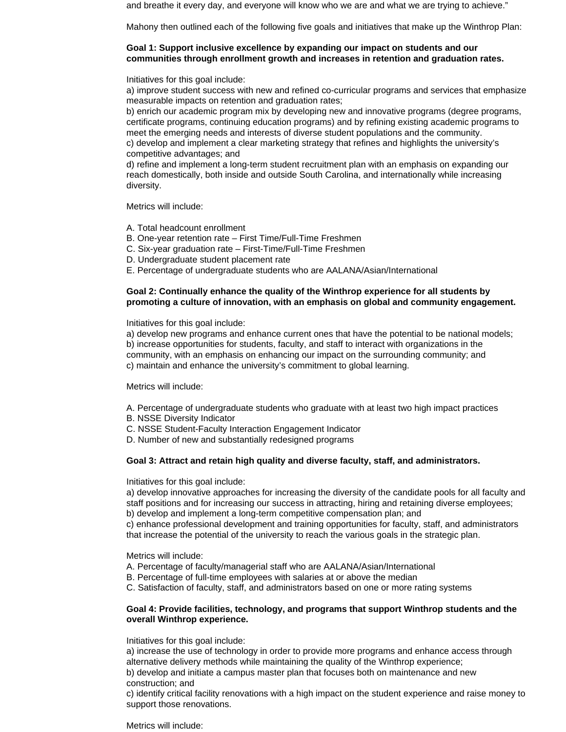and breathe it every day, and everyone will know who we are and what we are trying to achieve."

Mahony then outlined each of the following five goals and initiatives that make up the Winthrop Plan:

### **Goal 1: Support inclusive excellence by expanding our impact on students and our communities through enrollment growth and increases in retention and graduation rates.**

Initiatives for this goal include:

a) improve student success with new and refined co-curricular programs and services that emphasize measurable impacts on retention and graduation rates;

b) enrich our academic program mix by developing new and innovative programs (degree programs, certificate programs, continuing education programs) and by refining existing academic programs to meet the emerging needs and interests of diverse student populations and the community.

c) develop and implement a clear marketing strategy that refines and highlights the university's competitive advantages; and

d) refine and implement a long-term student recruitment plan with an emphasis on expanding our reach domestically, both inside and outside South Carolina, and internationally while increasing diversity.

Metrics will include:

- A. Total headcount enrollment
- B. One-year retention rate First Time/Full-Time Freshmen
- C. Six-year graduation rate First-Time/Full-Time Freshmen
- D. Undergraduate student placement rate
- E. Percentage of undergraduate students who are AALANA/Asian/International

### **Goal 2: Continually enhance the quality of the Winthrop experience for all students by promoting a culture of innovation, with an emphasis on global and community engagement.**

Initiatives for this goal include:

a) develop new programs and enhance current ones that have the potential to be national models; b) increase opportunities for students, faculty, and staff to interact with organizations in the community, with an emphasis on enhancing our impact on the surrounding community; and c) maintain and enhance the university's commitment to global learning.

Metrics will include:

- A. Percentage of undergraduate students who graduate with at least two high impact practices
- B. NSSE Diversity Indicator
- C. NSSE Student-Faculty Interaction Engagement Indicator
- D. Number of new and substantially redesigned programs

### **Goal 3: Attract and retain high quality and diverse faculty, staff, and administrators.**

Initiatives for this goal include:

a) develop innovative approaches for increasing the diversity of the candidate pools for all faculty and staff positions and for increasing our success in attracting, hiring and retaining diverse employees; b) develop and implement a long-term competitive compensation plan; and

c) enhance professional development and training opportunities for faculty, staff, and administrators that increase the potential of the university to reach the various goals in the strategic plan.

Metrics will include:

- A. Percentage of faculty/managerial staff who are AALANA/Asian/International
- B. Percentage of full-time employees with salaries at or above the median
- C. Satisfaction of faculty, staff, and administrators based on one or more rating systems

#### **Goal 4: Provide facilities, technology, and programs that support Winthrop students and the overall Winthrop experience.**

Initiatives for this goal include:

a) increase the use of technology in order to provide more programs and enhance access through alternative delivery methods while maintaining the quality of the Winthrop experience;

b) develop and initiate a campus master plan that focuses both on maintenance and new construction; and

c) identify critical facility renovations with a high impact on the student experience and raise money to support those renovations.

Metrics will include: